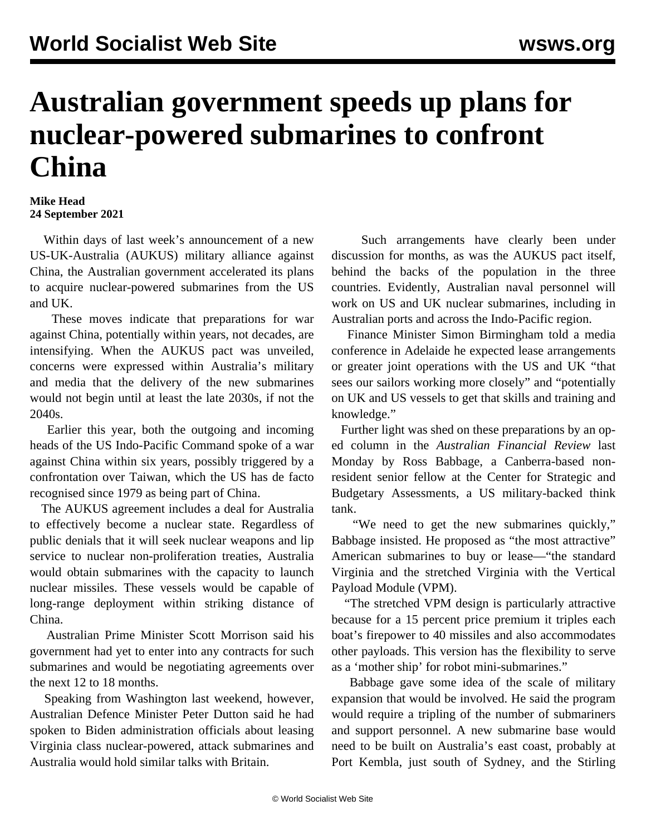## **Australian government speeds up plans for nuclear-powered submarines to confront China**

## **Mike Head 24 September 2021**

 Within days of last week's announcement of a new US-UK-Australia (AUKUS) military alliance against China, the Australian government accelerated its plans to acquire nuclear-powered submarines from the US and UK.

 These moves indicate that preparations for war against China, potentially within years, not decades, are intensifying. When the AUKUS pact was unveiled, concerns were expressed within Australia's military and media that the delivery of the new submarines would not begin until at least the late 2030s, if not the 2040s.

 Earlier this year, both the outgoing and incoming heads of the US Indo-Pacific Command spoke of a war against China within six years, possibly triggered by a confrontation over Taiwan, which the US has de facto recognised since 1979 as being part of China.

 The AUKUS agreement includes a deal for Australia to effectively become a nuclear state. Regardless of public denials that it will seek nuclear weapons and lip service to nuclear non-proliferation treaties, Australia would obtain submarines with the capacity to launch nuclear missiles. These vessels would be capable of long-range deployment within striking distance of China.

 Australian Prime Minister Scott Morrison said his government had yet to enter into any contracts for such submarines and would be negotiating agreements over the next 12 to 18 months.

 Speaking from Washington last weekend, however, Australian Defence Minister Peter Dutton said he had spoken to Biden administration officials about leasing Virginia class nuclear-powered, attack submarines and Australia would hold similar talks with Britain.

 Such arrangements have clearly been under discussion for months, as was the AUKUS pact itself, behind the backs of the population in the three countries. Evidently, Australian naval personnel will work on US and UK nuclear submarines, including in Australian ports and across the Indo-Pacific region.

 Finance Minister Simon Birmingham told a media conference in Adelaide he expected lease arrangements or greater joint operations with the US and UK "that sees our sailors working more closely" and "potentially on UK and US vessels to get that skills and training and knowledge."

 Further light was shed on these preparations by an oped column in the *Australian Financial Review* last Monday by Ross Babbage, a Canberra-based nonresident senior fellow at the Center for Strategic and Budgetary Assessments, a US military-backed think tank.

 "We need to get the new submarines quickly," Babbage insisted. He proposed as "the most attractive" American submarines to buy or lease—"the standard Virginia and the stretched Virginia with the Vertical Payload Module (VPM).

 "The stretched VPM design is particularly attractive because for a 15 percent price premium it triples each boat's firepower to 40 missiles and also accommodates other payloads. This version has the flexibility to serve as a 'mother ship' for robot mini-submarines."

 Babbage gave some idea of the scale of military expansion that would be involved. He said the program would require a tripling of the number of submariners and support personnel. A new submarine base would need to be built on Australia's east coast, probably at Port Kembla, just south of Sydney, and the Stirling